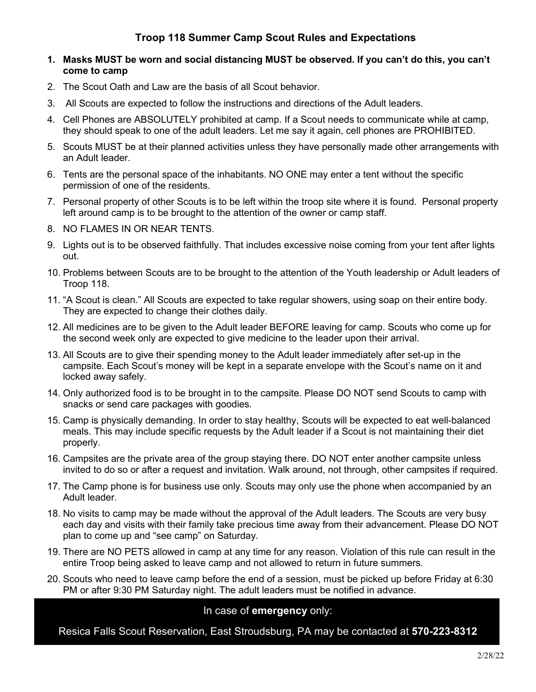# **Troop 118 Summer Camp Scout Rules and Expectations**

### **1. Masks MUST be worn and social distancing MUST be observed. If you can't do this, you can't come to camp**

- 2. The Scout Oath and Law are the basis of all Scout behavior.
- 3. All Scouts are expected to follow the instructions and directions of the Adult leaders.
- 4. Cell Phones are ABSOLUTELY prohibited at camp. If a Scout needs to communicate while at camp, they should speak to one of the adult leaders. Let me say it again, cell phones are PROHIBITED.
- 5. Scouts MUST be at their planned activities unless they have personally made other arrangements with an Adult leader.
- 6. Tents are the personal space of the inhabitants. NO ONE may enter a tent without the specific permission of one of the residents.
- 7. Personal property of other Scouts is to be left within the troop site where it is found. Personal property left around camp is to be brought to the attention of the owner or camp staff.
- 8. NO FLAMES IN OR NEAR TENTS.
- 9. Lights out is to be observed faithfully. That includes excessive noise coming from your tent after lights out.
- 10. Problems between Scouts are to be brought to the attention of the Youth leadership or Adult leaders of Troop 118.
- 11. "A Scout is clean." All Scouts are expected to take regular showers, using soap on their entire body. They are expected to change their clothes daily.
- 12. All medicines are to be given to the Adult leader BEFORE leaving for camp. Scouts who come up for the second week only are expected to give medicine to the leader upon their arrival.
- 13. All Scouts are to give their spending money to the Adult leader immediately after set-up in the campsite. Each Scout's money will be kept in a separate envelope with the Scout's name on it and locked away safely.
- 14. Only authorized food is to be brought in to the campsite. Please DO NOT send Scouts to camp with snacks or send care packages with goodies.
- 15. Camp is physically demanding. In order to stay healthy, Scouts will be expected to eat well-balanced meals. This may include specific requests by the Adult leader if a Scout is not maintaining their diet properly.
- 16. Campsites are the private area of the group staying there. DO NOT enter another campsite unless invited to do so or after a request and invitation. Walk around, not through, other campsites if required.
- 17. The Camp phone is for business use only. Scouts may only use the phone when accompanied by an Adult leader.
- 18. No visits to camp may be made without the approval of the Adult leaders. The Scouts are very busy each day and visits with their family take precious time away from their advancement. Please DO NOT plan to come up and "see camp" on Saturday.
- 19. There are NO PETS allowed in camp at any time for any reason. Violation of this rule can result in the entire Troop being asked to leave camp and not allowed to return in future summers.
- 20. Scouts who need to leave camp before the end of a session, must be picked up before Friday at 6:30 PM or after 9:30 PM Saturday night. The adult leaders must be notified in advance.

## In case of **emergency** only:

Resica Falls Scout Reservation, East Stroudsburg, PA may be contacted at **570-223-8312**